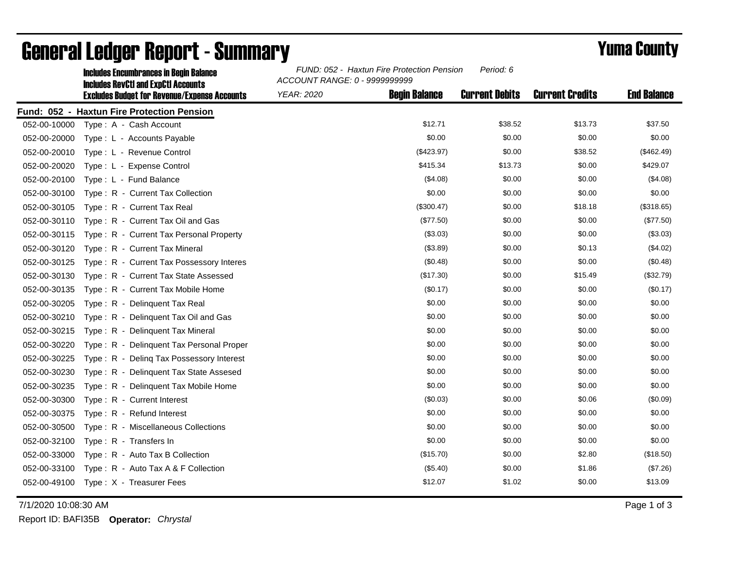|              | <b>Includes Encumbrances in Begin Balance</b><br><b>Includes RevCtI and ExpCtI Accounts</b> | FUND: 052 - Haxtun Fire Protection Pension<br>Period: 6<br>ACCOUNT RANGE: 0 - 9999999999 |                      |                       |                        |                    |
|--------------|---------------------------------------------------------------------------------------------|------------------------------------------------------------------------------------------|----------------------|-----------------------|------------------------|--------------------|
|              | <b>Excludes Budget for Revenue/Expense Accounts</b>                                         | <b>YEAR: 2020</b>                                                                        | <b>Begin Balance</b> | <b>Current Debits</b> | <b>Current Credits</b> | <b>End Balance</b> |
|              | Fund: 052 - Haxtun Fire Protection Pension                                                  |                                                                                          |                      |                       |                        |                    |
| 052-00-10000 | Type: A - Cash Account                                                                      |                                                                                          | \$12.71              | \$38.52               | \$13.73                | \$37.50            |
| 052-00-20000 | Type: L - Accounts Payable                                                                  |                                                                                          | \$0.00               | \$0.00                | \$0.00                 | \$0.00             |
| 052-00-20010 | Type: L - Revenue Control                                                                   |                                                                                          | (\$423.97)           | \$0.00                | \$38.52                | (\$462.49)         |
| 052-00-20020 | Type: L - Expense Control                                                                   |                                                                                          | \$415.34             | \$13.73               | \$0.00                 | \$429.07           |
| 052-00-20100 | Type: L - Fund Balance                                                                      |                                                                                          | (\$4.08)             | \$0.00                | \$0.00                 | (\$4.08)           |
| 052-00-30100 | Type: R - Current Tax Collection                                                            |                                                                                          | \$0.00               | \$0.00                | \$0.00                 | \$0.00             |
| 052-00-30105 | Type: R - Current Tax Real                                                                  |                                                                                          | (\$300.47)           | \$0.00                | \$18.18                | (\$318.65)         |
| 052-00-30110 | Type: R - Current Tax Oil and Gas                                                           |                                                                                          | (\$77.50)            | \$0.00                | \$0.00                 | (\$77.50)          |
| 052-00-30115 | Type: R - Current Tax Personal Property                                                     |                                                                                          | (\$3.03)             | \$0.00                | \$0.00                 | (\$3.03)           |
| 052-00-30120 | Type: R - Current Tax Mineral                                                               |                                                                                          | (\$3.89)             | \$0.00                | \$0.13                 | (\$4.02)           |
| 052-00-30125 | Type: R - Current Tax Possessory Interes                                                    |                                                                                          | (\$0.48)             | \$0.00                | \$0.00                 | (\$0.48)           |
| 052-00-30130 | Type: R - Current Tax State Assessed                                                        |                                                                                          | (\$17.30)            | \$0.00                | \$15.49                | (\$32.79)          |
| 052-00-30135 | Type: R - Current Tax Mobile Home                                                           |                                                                                          | (\$0.17)             | \$0.00                | \$0.00                 | (\$0.17)           |
| 052-00-30205 | Type: R - Delinquent Tax Real                                                               |                                                                                          | \$0.00               | \$0.00                | \$0.00                 | \$0.00             |
| 052-00-30210 | Type: R - Delinquent Tax Oil and Gas                                                        |                                                                                          | \$0.00               | \$0.00                | \$0.00                 | \$0.00             |
| 052-00-30215 | Type: R - Delinguent Tax Mineral                                                            |                                                                                          | \$0.00               | \$0.00                | \$0.00                 | \$0.00             |
| 052-00-30220 | Type: R - Delinquent Tax Personal Proper                                                    |                                                                                          | \$0.00               | \$0.00                | \$0.00                 | \$0.00             |
| 052-00-30225 | Type: R - Deling Tax Possessory Interest                                                    |                                                                                          | \$0.00               | \$0.00                | \$0.00                 | \$0.00             |
| 052-00-30230 | Type: R - Delinguent Tax State Assesed                                                      |                                                                                          | \$0.00               | \$0.00                | \$0.00                 | \$0.00             |
| 052-00-30235 | Type: R - Delinquent Tax Mobile Home                                                        |                                                                                          | \$0.00               | \$0.00                | \$0.00                 | \$0.00             |
| 052-00-30300 | Type: R - Current Interest                                                                  |                                                                                          | (\$0.03)             | \$0.00                | \$0.06                 | (\$0.09)           |
| 052-00-30375 | $Type: R - Refund Interest$                                                                 |                                                                                          | \$0.00               | \$0.00                | \$0.00                 | \$0.00             |
| 052-00-30500 | Type: R - Miscellaneous Collections                                                         |                                                                                          | \$0.00               | \$0.00                | \$0.00                 | \$0.00             |
| 052-00-32100 | Type: R - Transfers In                                                                      |                                                                                          | \$0.00               | \$0.00                | \$0.00                 | \$0.00             |
| 052-00-33000 | Type: R - Auto Tax B Collection                                                             |                                                                                          | (\$15.70)            | \$0.00                | \$2.80                 | (\$18.50)          |
| 052-00-33100 | Type: R - Auto Tax A & F Collection                                                         |                                                                                          | (\$5.40)             | \$0.00                | \$1.86                 | (\$7.26)           |
|              | 052-00-49100 Type: X - Treasurer Fees                                                       |                                                                                          | \$12.07              | \$1.02                | \$0.00                 | \$13.09            |

## General Ledger Report - Summary **Example 2018** Yuma County

7/1/2020 10:08:30 AM Page 1 of 3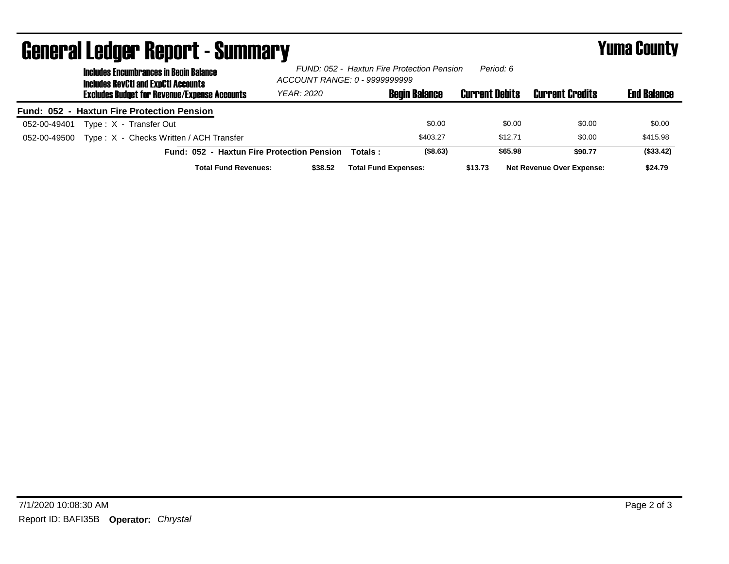| UGIIGI AI LGUYGI HGUUI L´OUIIIIIIAI J<br><b>Includes Encumbrances in Begin Balance</b><br><b>Includes RevCtI and ExpCtI Accounts</b> | FUND: 052 - Haxtun Fire Protection Pension<br>Period: 6<br>ACCOUNT RANGE: 0 - 9999999999 |          |                             | I UHU VVUILL          |                                  |                    |
|--------------------------------------------------------------------------------------------------------------------------------------|------------------------------------------------------------------------------------------|----------|-----------------------------|-----------------------|----------------------------------|--------------------|
| <b>Excludes Budget for Revenue/Expense Accounts</b>                                                                                  | YEAR: 2020                                                                               |          | <b>Begin Balance</b>        | <b>Current Debits</b> | <b>Current Credits</b>           | <b>End Balance</b> |
| Fund: 052 - Haxtun Fire Protection Pension                                                                                           |                                                                                          |          |                             |                       |                                  |                    |
| Type: X - Transfer Out<br>052-00-49401                                                                                               |                                                                                          |          | \$0.00                      | \$0.00                | \$0.00                           | \$0.00             |
| Type: X - Checks Written / ACH Transfer<br>052-00-49500                                                                              |                                                                                          |          | \$403.27                    | \$12.71               | \$0.00                           | \$415.98           |
| Fund: 052 - Haxtun Fire Protection Pension                                                                                           |                                                                                          | Totals : | $($ \$8.63)                 | \$65.98               | \$90.77                          | (\$33.42)          |
| <b>Total Fund Revenues:</b>                                                                                                          | \$38.52                                                                                  |          | <b>Total Fund Expenses:</b> | \$13.73               | <b>Net Revenue Over Expense:</b> | \$24.79            |

## General Ledger Report - Summary Yuma County